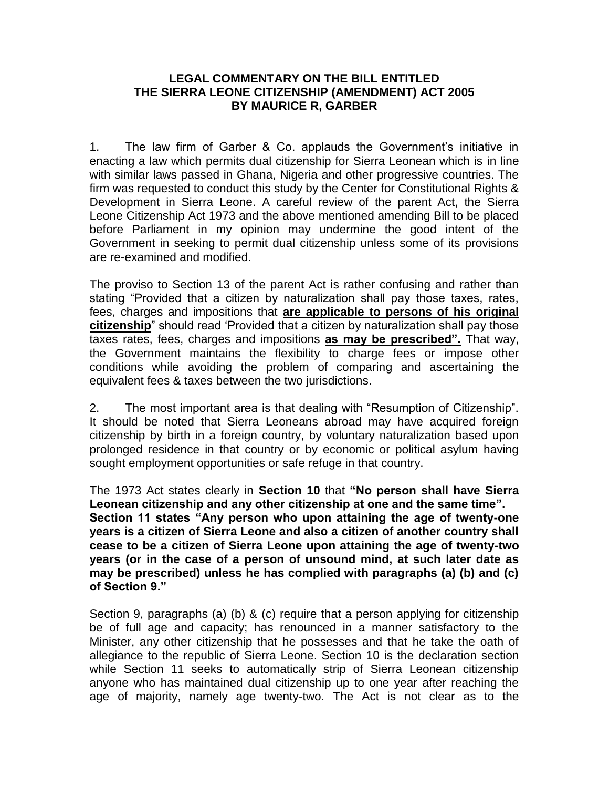## **LEGAL COMMENTARY ON THE BILL ENTITLED THE SIERRA LEONE CITIZENSHIP (AMENDMENT) ACT 2005 BY MAURICE R, GARBER**

1. The law firm of Garber & Co. applauds the Government's initiative in enacting a law which permits dual citizenship for Sierra Leonean which is in line with similar laws passed in Ghana, Nigeria and other progressive countries. The firm was requested to conduct this study by the Center for Constitutional Rights & Development in Sierra Leone. A careful review of the parent Act, the Sierra Leone Citizenship Act 1973 and the above mentioned amending Bill to be placed before Parliament in my opinion may undermine the good intent of the Government in seeking to permit dual citizenship unless some of its provisions are re-examined and modified.

The proviso to Section 13 of the parent Act is rather confusing and rather than stating "Provided that a citizen by naturalization shall pay those taxes, rates, fees, charges and impositions that **are applicable to persons of his original citizenship**" should read 'Provided that a citizen by naturalization shall pay those taxes rates, fees, charges and impositions **as may be prescribed".** That way, the Government maintains the flexibility to charge fees or impose other conditions while avoiding the problem of comparing and ascertaining the equivalent fees & taxes between the two jurisdictions.

2. The most important area is that dealing with "Resumption of Citizenship". It should be noted that Sierra Leoneans abroad may have acquired foreign citizenship by birth in a foreign country, by voluntary naturalization based upon prolonged residence in that country or by economic or political asylum having sought employment opportunities or safe refuge in that country.

The 1973 Act states clearly in **Section 10** that **"No person shall have Sierra Leonean citizenship and any other citizenship at one and the same time". Section 11 states "Any person who upon attaining the age of twenty-one years is a citizen of Sierra Leone and also a citizen of another country shall cease to be a citizen of Sierra Leone upon attaining the age of twenty-two years (or in the case of a person of unsound mind, at such later date as may be prescribed) unless he has complied with paragraphs (a) (b) and (c) of Section 9."**

Section 9, paragraphs (a) (b) & (c) require that a person applying for citizenship be of full age and capacity; has renounced in a manner satisfactory to the Minister, any other citizenship that he possesses and that he take the oath of allegiance to the republic of Sierra Leone. Section 10 is the declaration section while Section 11 seeks to automatically strip of Sierra Leonean citizenship anyone who has maintained dual citizenship up to one year after reaching the age of majority, namely age twenty-two. The Act is not clear as to the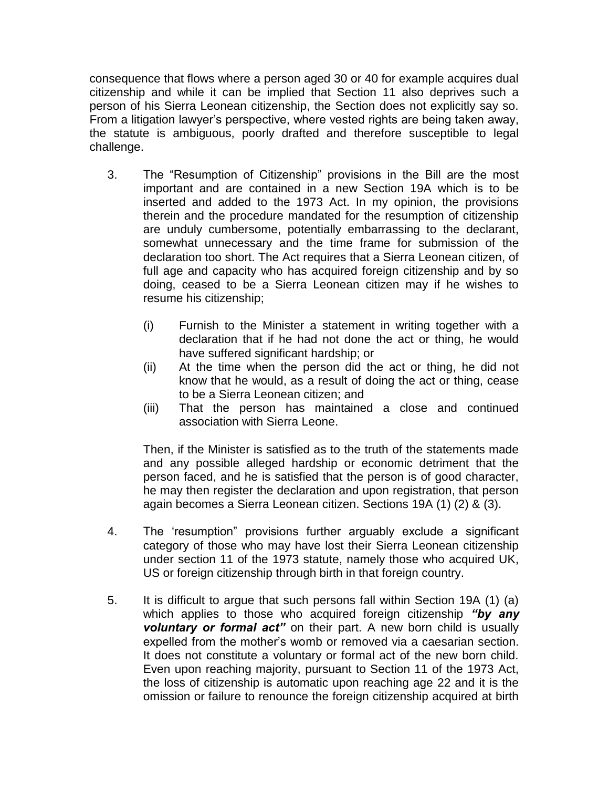consequence that flows where a person aged 30 or 40 for example acquires dual citizenship and while it can be implied that Section 11 also deprives such a person of his Sierra Leonean citizenship, the Section does not explicitly say so. From a litigation lawyer's perspective, where vested rights are being taken away, the statute is ambiguous, poorly drafted and therefore susceptible to legal challenge.

- 3. The "Resumption of Citizenship" provisions in the Bill are the most important and are contained in a new Section 19A which is to be inserted and added to the 1973 Act. In my opinion, the provisions therein and the procedure mandated for the resumption of citizenship are unduly cumbersome, potentially embarrassing to the declarant, somewhat unnecessary and the time frame for submission of the declaration too short. The Act requires that a Sierra Leonean citizen, of full age and capacity who has acquired foreign citizenship and by so doing, ceased to be a Sierra Leonean citizen may if he wishes to resume his citizenship;
	- (i) Furnish to the Minister a statement in writing together with a declaration that if he had not done the act or thing, he would have suffered significant hardship; or
	- (ii) At the time when the person did the act or thing, he did not know that he would, as a result of doing the act or thing, cease to be a Sierra Leonean citizen; and
	- (iii) That the person has maintained a close and continued association with Sierra Leone.

Then, if the Minister is satisfied as to the truth of the statements made and any possible alleged hardship or economic detriment that the person faced, and he is satisfied that the person is of good character, he may then register the declaration and upon registration, that person again becomes a Sierra Leonean citizen. Sections 19A (1) (2) & (3).

- 4. The 'resumption" provisions further arguably exclude a significant category of those who may have lost their Sierra Leonean citizenship under section 11 of the 1973 statute, namely those who acquired UK, US or foreign citizenship through birth in that foreign country.
- 5. It is difficult to argue that such persons fall within Section 19A (1) (a) which applies to those who acquired foreign citizenship *"by any voluntary or formal act"* on their part. A new born child is usually expelled from the mother's womb or removed via a caesarian section. It does not constitute a voluntary or formal act of the new born child. Even upon reaching majority, pursuant to Section 11 of the 1973 Act, the loss of citizenship is automatic upon reaching age 22 and it is the omission or failure to renounce the foreign citizenship acquired at birth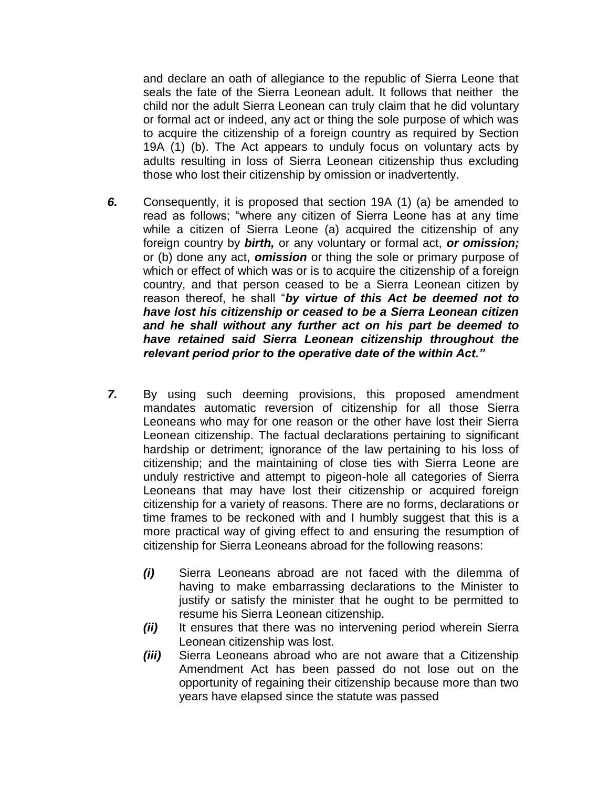and declare an oath of allegiance to the republic of Sierra Leone that seals the fate of the Sierra Leonean adult. It follows that neither the child nor the adult Sierra Leonean can truly claim that he did voluntary or formal act or indeed, any act or thing the sole purpose of which was to acquire the citizenship of a foreign country as required by Section 19A (1) (b). The Act appears to unduly focus on voluntary acts by adults resulting in loss of Sierra Leonean citizenship thus excluding those who lost their citizenship by omission or inadvertently.

- *6.* Consequently, it is proposed that section 19A (1) (a) be amended to read as follows; "where any citizen of Sierra Leone has at any time while a citizen of Sierra Leone (a) acquired the citizenship of any foreign country by *birth,* or any voluntary or formal act, *or omission;*  or (b) done any act, *omission* or thing the sole or primary purpose of which or effect of which was or is to acquire the citizenship of a foreign country, and that person ceased to be a Sierra Leonean citizen by reason thereof, he shall "*by virtue of this Act be deemed not to have lost his citizenship or ceased to be a Sierra Leonean citizen and he shall without any further act on his part be deemed to have retained said Sierra Leonean citizenship throughout the relevant period prior to the operative date of the within Act."*
- *7.* By using such deeming provisions, this proposed amendment mandates automatic reversion of citizenship for all those Sierra Leoneans who may for one reason or the other have lost their Sierra Leonean citizenship. The factual declarations pertaining to significant hardship or detriment; ignorance of the law pertaining to his loss of citizenship; and the maintaining of close ties with Sierra Leone are unduly restrictive and attempt to pigeon-hole all categories of Sierra Leoneans that may have lost their citizenship or acquired foreign citizenship for a variety of reasons. There are no forms, declarations or time frames to be reckoned with and I humbly suggest that this is a more practical way of giving effect to and ensuring the resumption of citizenship for Sierra Leoneans abroad for the following reasons:
	- *(i)* Sierra Leoneans abroad are not faced with the dilemma of having to make embarrassing declarations to the Minister to justify or satisfy the minister that he ought to be permitted to resume his Sierra Leonean citizenship.
	- *(ii)* It ensures that there was no intervening period wherein Sierra Leonean citizenship was lost.
	- *(iii)* Sierra Leoneans abroad who are not aware that a Citizenship Amendment Act has been passed do not lose out on the opportunity of regaining their citizenship because more than two years have elapsed since the statute was passed